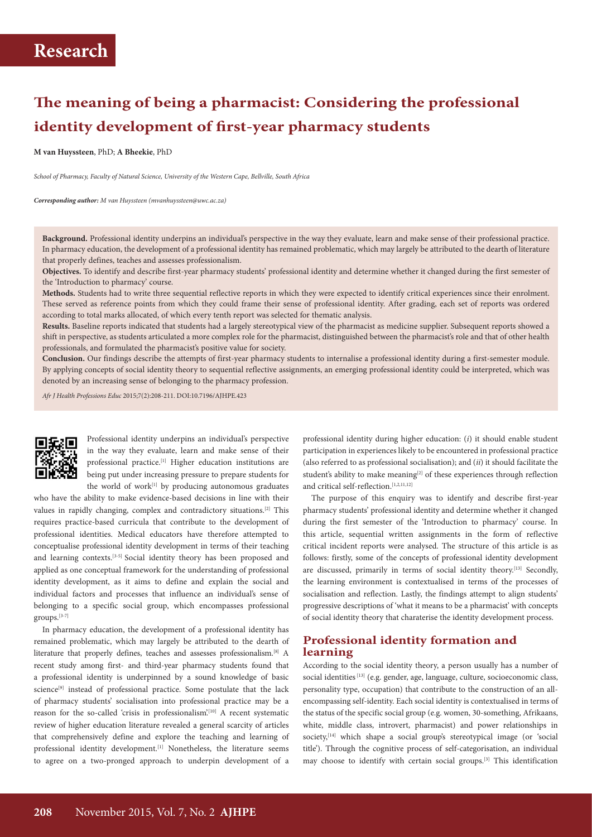# **The meaning of being a pharmacist: Considering the professional identity development of first-year pharmacy students**

**M van Huyssteen**, PhD; **A Bheekie**, PhD

*School of Pharmacy, Faculty of Natural Science, University of the Western Cape, Bellville, South Africa* 

*Corresponding author: M van Huyssteen (mvanhuyssteen@uwc.ac.za)* 

**Background.** Professional identity underpins an individual's perspective in the way they evaluate, learn and make sense of their professional practice. In pharmacy education, the development of a professional identity has remained problematic, which may largely be attributed to the dearth of literature that properly defines, teaches and assesses professionalism.

**Objectives.** To identify and describe first-year pharmacy students' professional identity and determine whether it changed during the first semester of the 'Introduction to pharmacy' course.

**Methods.** Students had to write three sequential reflective reports in which they were expected to identify critical experiences since their enrolment. These served as reference points from which they could frame their sense of professional identity. After grading, each set of reports was ordered according to total marks allocated, of which every tenth report was selected for thematic analysis.

**Results.** Baseline reports indicated that students had a largely stereotypical view of the pharmacist as medicine supplier. Subsequent reports showed a shift in perspective, as students articulated a more complex role for the pharmacist, distinguished between the pharmacist's role and that of other health professionals, and formulated the pharmacist's positive value for society.

**Conclusion.** Our findings describe the attempts of first-year pharmacy students to internalise a professional identity during a first-semester module. By applying concepts of social identity theory to sequential reflective assignments, an emerging professional identity could be interpreted, which was denoted by an increasing sense of belonging to the pharmacy profession.

*Afr J Health Professions Educ* 2015;7(2):208-211. DOI:10.7196/AJHPE.423



Professional identity underpins an individual's perspective in the way they evaluate, learn and make sense of their professional practice.[1] Higher education institutions are being put under increasing pressure to prepare students for the world of work $[1]$  by producing autonomous graduates

who have the ability to make evidence-based decisions in line with their values in rapidly changing, complex and contradictory situations.[2] This requires practice-based curricula that contribute to the development of professional identities. Medical educators have therefore attempted to conceptualise professional identity development in terms of their teaching and learning contexts.[3-5] Social identity theory has been proposed and applied as one conceptual framework for the understanding of professional identity development, as it aims to define and explain the social and individual factors and processes that influence an individual's sense of belonging to a specific social group, which encompasses professional groups.[3-7]

In pharmacy education, the development of a professional identity has remained problematic, which may largely be attributed to the dearth of literature that properly defines, teaches and assesses professionalism.<sup>[8]</sup> A recent study among first- and third-year pharmacy students found that a professional identity is underpinned by a sound knowledge of basic science<sup>[9]</sup> instead of professional practice. Some postulate that the lack of pharmacy students' socialisation into professional practice may be a reason for the so-called 'crisis in professionalism'.<sup>[10]</sup> A recent systematic review of higher education literature revealed a general scarcity of articles that comprehensively define and explore the teaching and learning of professional identity development.<sup>[1]</sup> Nonetheless, the literature seems to agree on a two-pronged approach to underpin development of a

professional identity during higher education: (*i*) it should enable student participation in experiences likely to be encountered in professional practice (also referred to as professional socialisation); and (*ii*) it should facilitate the student's ability to make meaning<sup>[2]</sup> of these experiences through reflection and critical self-reflection.<sup>[1,2,11,12]</sup>

The purpose of this enquiry was to identify and describe first-year pharmacy students' professional identity and determine whether it changed during the first semester of the 'Introduction to pharmacy' course. In this article, sequential written assignments in the form of reflective critical incident reports were analysed. The structure of this article is as follows: firstly, some of the concepts of professional identity development are discussed, primarily in terms of social identity theory.<sup>[13]</sup> Secondly, the learning environment is contextualised in terms of the processes of socialisation and reflection. Lastly, the findings attempt to align students' progressive descriptions of 'what it means to be a pharmacist' with concepts of social identity theory that charaterise the identity development process.

## **Professional identity formation and learning**

According to the social identity theory, a person usually has a number of social identities <a>[13]</a> (e.g. gender, age, language, culture, socioeconomic class, personality type, occupation) that contribute to the construction of an allencompassing self-identity. Each social identity is contextualised in terms of the status of the specific social group (e.g. women, 30-something, Afrikaans, white, middle class, introvert, pharmacist) and power relationships in society,<sup>[14]</sup> which shape a social group's stereotypical image (or 'social title'). Through the cognitive process of self-categorisation, an individual may choose to identify with certain social groups.[3] This identification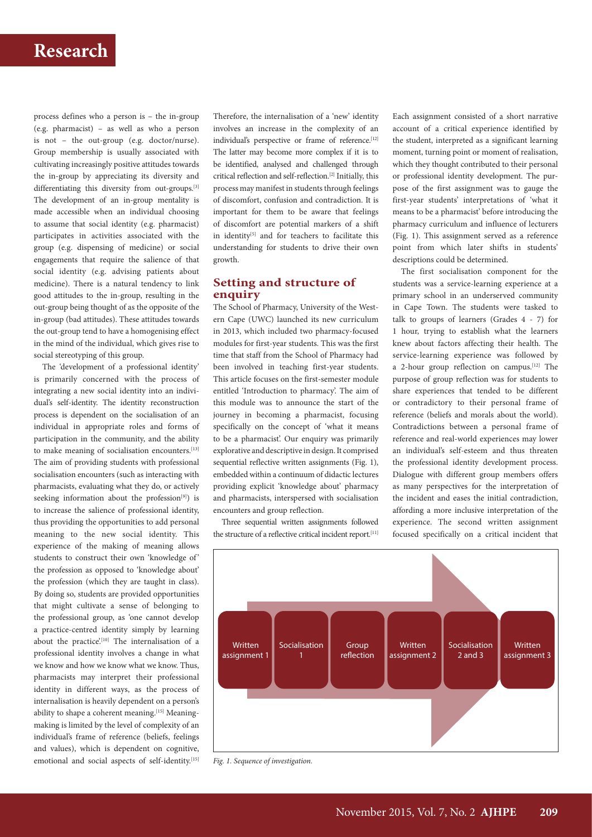process defines who a person is – the in-group (e.g. pharmacist) – as well as who a person is not – the out-group (e.g. doctor/nurse). Group membership is usually associated with cultivating increasingly positive attitudes towards the in-group by appreciating its diversity and differentiating this diversity from out-groups.[3] The development of an in-group mentality is made accessible when an individual choosing to assume that social identity (e.g. pharmacist) participates in activities associated with the group (e.g. dispensing of medicine) or social engagements that require the salience of that social identity (e.g. advising patients about medicine). There is a natural tendency to link good attitudes to the in-group, resulting in the out-group being thought of as the opposite of the in-group (bad attitudes). These attitudes towards the out-group tend to have a homogenising effect in the mind of the individual, which gives rise to social stereotyping of this group.

The 'development of a professional identity' is primarily concerned with the process of integrating a new social identity into an individual's self-identity. The identity reconstruction process is dependent on the socialisation of an individual in appropriate roles and forms of participation in the community, and the ability to make meaning of socialisation encounters.<sup>[13]</sup> The aim of providing students with professional socialisation encounters (such as interacting with pharmacists, evaluating what they do, or actively seeking information about the profession<sup>[9]</sup>) is to increase the salience of professional identity, thus providing the opportunities to add personal meaning to the new social identity. This experience of the making of meaning allows students to construct their own 'knowledge of ' the profession as opposed to 'knowledge about' the profession (which they are taught in class). By doing so, students are provided opportunities that might cultivate a sense of belonging to the professional group, as 'one cannot develop a practice-centred identity simply by learning about the practice.<sup>[10]</sup> The internalisation of a professional identity involves a change in what we know and how we know what we know. Thus, pharmacists may interpret their professional identity in different ways, as the process of internalisation is heavily dependent on a person's ability to shape a coherent meaning.<sup>[15]</sup> Meaningmaking is limited by the level of complexity of an individual's frame of reference (beliefs, feelings and values), which is dependent on cognitive, emotional and social aspects of self-identity.<sup>[15]</sup>

Therefore, the internalisation of a 'new' identity involves an increase in the complexity of an individual's perspective or frame of reference.<sup>[12]</sup> The latter may become more complex if it is to be identified, analysed and challenged through critical reflection and self-reflection.[2] Initially, this process may manifest in students through feelings of discomfort, confusion and contradiction. It is important for them to be aware that feelings of discomfort are potential markers of a shift in identity<sup>[5]</sup> and for teachers to facilitate this understanding for students to drive their own growth.

### **Setting and structure of enquiry**

The School of Pharmacy, University of the Western Cape (UWC) launched its new curriculum in 2013, which included two pharmacy-focused modules for first-year students. This was the first time that staff from the School of Pharmacy had been involved in teaching first-year students. This article focuses on the first-semester module entitled 'Introduction to pharmacy'. The aim of this module was to announce the start of the journey in becoming a pharmacist, focusing specifically on the concept of 'what it means to be a pharmacist'. Our enquiry was primarily explorative and descriptive in design. It comprised sequential reflective written assignments (Fig. 1), embedded within a continuum of didactic lectures providing explicit 'knowledge about' pharmacy and pharmacists, interspersed with socialisation encounters and group reflection.

Three sequential written assignments followed the structure of a reflective critical incident report.<sup>[11]</sup> Each assignment consisted of a short narrative account of a critical experience identified by the student, interpreted as a significant learning moment, turning point or moment of realisation, which they thought contributed to their personal or professional identity development. The purpose of the first assignment was to gauge the first-year students' interpretations of 'what it means to be a pharmacist' before introducing the pharmacy curriculum and influence of lecturers (Fig. 1). This assignment served as a reference point from which later shifts in students' descriptions could be determined.

The first socialisation component for the students was a service-learning experience at a primary school in an underserved community in Cape Town. The students were tasked to talk to groups of learners (Grades 4 - 7) for 1 hour, trying to establish what the learners knew about factors affecting their health. The service-learning experience was followed by a 2-hour group reflection on campus.[12] The purpose of group reflection was for students to share experiences that tended to be different or contradictory to their personal frame of reference (beliefs and morals about the world). Contradictions between a personal frame of reference and real-world experiences may lower an individual's self-esteem and thus threaten the professional identity development process. Dialogue with different group members offers as many perspectives for the interpretation of the incident and eases the initial contradiction, affording a more inclusive interpretation of the experience. The second written assignment focused specifically on a critical incident that



*Fig. 1. Sequence of investigation.*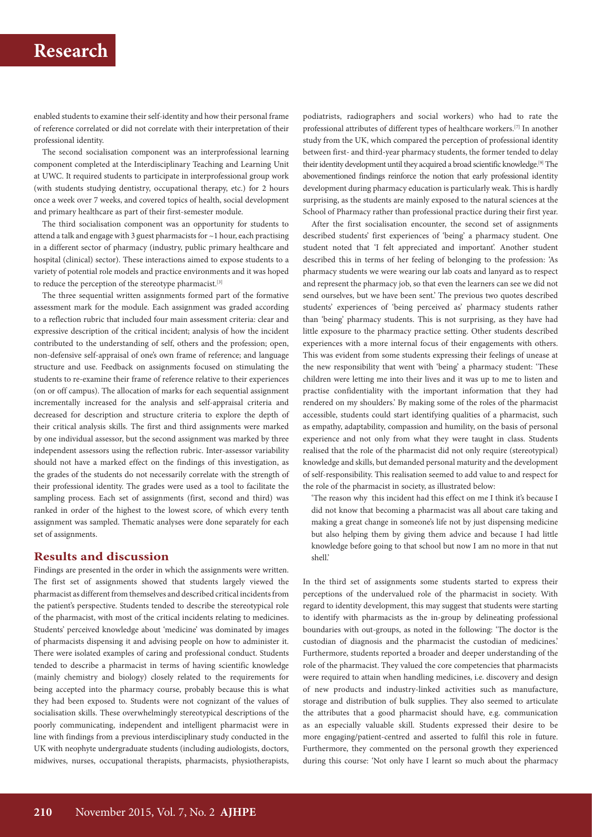# **Research**

enabled students to examine their self-identity and how their personal frame of reference correlated or did not correlate with their interpretation of their professional identity.

The second socialisation component was an interprofessional learning component completed at the Interdisciplinary Teaching and Learning Unit at UWC. It required students to participate in interprofessional group work (with students studying dentistry, occupational therapy, etc.) for 2 hours once a week over 7 weeks, and covered topics of health, social development and primary healthcare as part of their first-semester module.

The third socialisation component was an opportunity for students to attend a talk and engage with 3 guest pharmacists for ~1 hour, each practising in a different sector of pharmacy (industry, public primary healthcare and hospital (clinical) sector). These interactions aimed to expose students to a variety of potential role models and practice environments and it was hoped to reduce the perception of the stereotype pharmacist.<sup>[3]</sup>

The three sequential written assignments formed part of the formative assessment mark for the module. Each assignment was graded according to a reflection rubric that included four main assessment criteria: clear and expressive description of the critical incident; analysis of how the incident contributed to the understanding of self, others and the profession; open, non-defensive self-appraisal of one's own frame of reference; and language structure and use. Feedback on assignments focused on stimulating the students to re-examine their frame of reference relative to their experiences (on or off campus). The allocation of marks for each sequential assignment incrementally increased for the analysis and self-appraisal criteria and decreased for description and structure criteria to explore the depth of their critical analysis skills. The first and third assignments were marked by one individual assessor, but the second assignment was marked by three independent assessors using the reflection rubric. Inter-assessor variability should not have a marked effect on the findings of this investigation, as the grades of the students do not necessarily correlate with the strength of their professional identity. The grades were used as a tool to facilitate the sampling process. Each set of assignments (first, second and third) was ranked in order of the highest to the lowest score, of which every tenth assignment was sampled. Thematic analyses were done separately for each set of assignments.

### **Results and discussion**

Findings are presented in the order in which the assignments were written. The first set of assignments showed that students largely viewed the pharmacist as different from themselves and described critical incidents from the patient's perspective. Students tended to describe the stereotypical role of the pharmacist, with most of the critical incidents relating to medicines. Students' perceived knowledge about 'medicine' was dominated by images of pharmacists dispensing it and advising people on how to administer it. There were isolated examples of caring and professional conduct. Students tended to describe a pharmacist in terms of having scientific knowledge (mainly chemistry and biology) closely related to the requirements for being accepted into the pharmacy course, probably because this is what they had been exposed to. Students were not cognizant of the values of socialisation skills. These overwhelmingly stereotypical descriptions of the poorly communicating, independent and intelligent pharmacist were in line with findings from a previous interdisciplinary study conducted in the UK with neophyte undergraduate students (including audiologists, doctors, midwives, nurses, occupational therapists, pharmacists, physiotherapists,

podiatrists, radiographers and social workers) who had to rate the professional attributes of different types of healthcare workers.[7] In another study from the UK, which compared the perception of professional identity between first- and third-year pharmacy students, the former tended to delay their identity development until they acquired a broad scientific knowledge.[9] The abovementioned findings reinforce the notion that early professional identity development during pharmacy education is particularly weak. This is hardly surprising, as the students are mainly exposed to the natural sciences at the School of Pharmacy rather than professional practice during their first year.

After the first socialisation encounter, the second set of assignments described students' first experiences of 'being' a pharmacy student. One student noted that 'I felt appreciated and important'. Another student described this in terms of her feeling of belonging to the profession: 'As pharmacy students we were wearing our lab coats and lanyard as to respect and represent the pharmacy job, so that even the learners can see we did not send ourselves, but we have been sent.' The previous two quotes described students' experiences of 'being perceived as' pharmacy students rather than 'being' pharmacy students. This is not surprising, as they have had little exposure to the pharmacy practice setting. Other students described experiences with a more internal focus of their engagements with others. This was evident from some students expressing their feelings of unease at the new responsibility that went with 'being' a pharmacy student: 'These children were letting me into their lives and it was up to me to listen and practise confidentiality with the important information that they had rendered on my shoulders.' By making some of the roles of the pharmacist accessible, students could start identifying qualities of a pharmacist, such as empathy, adaptability, compassion and humility, on the basis of personal experience and not only from what they were taught in class. Students realised that the role of the pharmacist did not only require (stereotypical) knowledge and skills, but demanded personal maturity and the development of self-responsibility. This realisation seemed to add value to and respect for the role of the pharmacist in society, as illustrated below:

'The reason why this incident had this effect on me I think it's because I did not know that becoming a pharmacist was all about care taking and making a great change in someone's life not by just dispensing medicine but also helping them by giving them advice and because I had little knowledge before going to that school but now I am no more in that nut shell.'

In the third set of assignments some students started to express their perceptions of the undervalued role of the pharmacist in society. With regard to identity development, this may suggest that students were starting to identify with pharmacists as the in-group by delineating professional boundaries with out-groups, as noted in the following: 'The doctor is the custodian of diagnosis and the pharmacist the custodian of medicines.' Furthermore, students reported a broader and deeper understanding of the role of the pharmacist. They valued the core competencies that pharmacists were required to attain when handling medicines, i.e. discovery and design of new products and industry-linked activities such as manufacture, storage and distribution of bulk supplies. They also seemed to articulate the attributes that a good pharmacist should have, e.g. communication as an especially valuable skill. Students expressed their desire to be more engaging/patient-centred and asserted to fulfil this role in future. Furthermore, they commented on the personal growth they experienced during this course: 'Not only have I learnt so much about the pharmacy